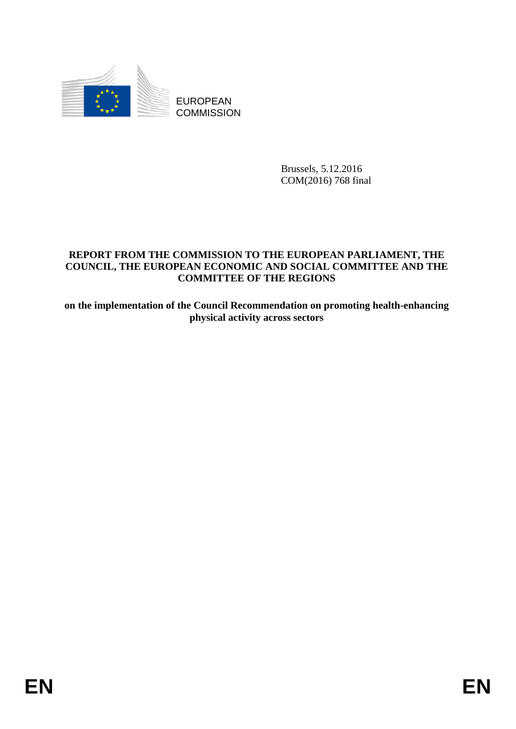

EUROPEAN **COMMISSION** 

> Brussels, 5.12.2016 COM(2016) 768 final

# **REPORT FROM THE COMMISSION TO THE EUROPEAN PARLIAMENT, THE COUNCIL, THE EUROPEAN ECONOMIC AND SOCIAL COMMITTEE AND THE COMMITTEE OF THE REGIONS**

**on the implementation of the Council Recommendation on promoting health-enhancing physical activity across sectors**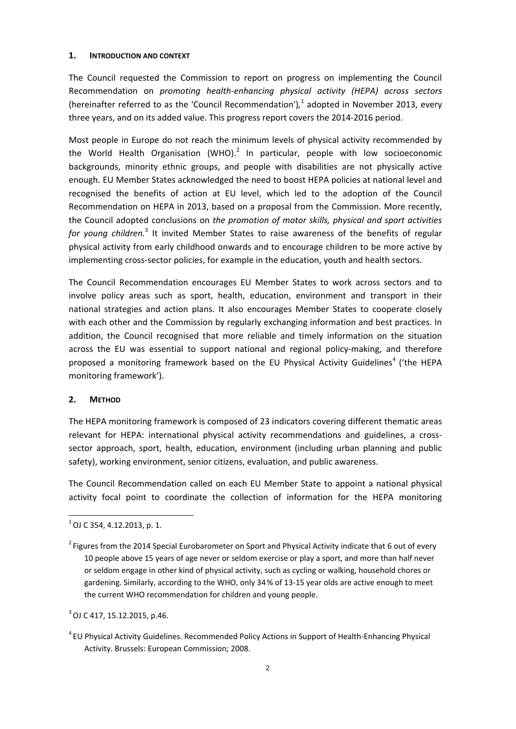#### **1. INTRODUCTION AND CONTEXT**

The Council requested the Commission to report on progress on implementing the Council Recommendation on *promoting health-enhancing physical activity (HEPA) across sectors*  (hereinafter referred to as the 'Council Recommendation')*,* 1 adopted in November 2013, every three years, and on its added value. This progress report covers the 2014-2016 period.

Most people in Europe do not reach the minimum levels of physical activity recommended by the World Health Organisation (WHO). $^2$  In particular, people with low socioeconomic backgrounds, minority ethnic groups, and people with disabilities are not physically active enough. EU Member States acknowledged the need to boost HEPA policies at national level and recognised the benefits of action at EU level, which led to the adoption of the Council Recommendation on HEPA in 2013, based on a proposal from the Commission. More recently, the Council adopted conclusions on *the promotion of motor skills, physical and sport activities*  for young children.<sup>3</sup> It invited Member States to raise awareness of the benefits of regular physical activity from early childhood onwards and to encourage children to be more active by implementing cross-sector policies, for example in the education, youth and health sectors.

The Council Recommendation encourages EU Member States to work across sectors and to involve policy areas such as sport, health, education, environment and transport in their national strategies and action plans. It also encourages Member States to cooperate closely with each other and the Commission by regularly exchanging information and best practices. In addition, the Council recognised that more reliable and timely information on the situation across the EU was essential to support national and regional policy-making, and therefore proposed a monitoring framework based on the EU Physical Activity Guidelines<sup>4</sup> ('the HEPA monitoring framework').

## **2. METHOD**

The HEPA monitoring framework is composed of 23 indicators covering different thematic areas relevant for HEPA: international physical activity recommendations and guidelines, a crosssector approach, sport, health, education, environment (including urban planning and public safety), working environment, senior citizens, evaluation, and public awareness.

The Council Recommendation called on each EU Member State to appoint a national physical activity focal point to coordinate the collection of information for the HEPA monitoring

 $\overline{a}$ 

 $3$  OJ C 417, 15.12.2015, p.46.

 $1$  OJ C 354, 4.12.2013, p. 1.

 $2$  Figures from the 2014 Special Eurobarometer on Sport and Physical Activity indicate that 6 out of every 10 people above 15 years of age never or seldom exercise or play a sport, and more than half never or seldom engage in other kind of physical activity, such as cycling or walking, household chores or gardening. Similarly, according to the WHO, only 34% of 13-15 year olds are active enough to meet the current WHO recommendation for children and young people.

<sup>&</sup>lt;sup>4</sup> EU Physical Activity Guidelines. Recommended Policy Actions in Support of Health-Enhancing Physical Activity. Brussels: European Commission; 2008.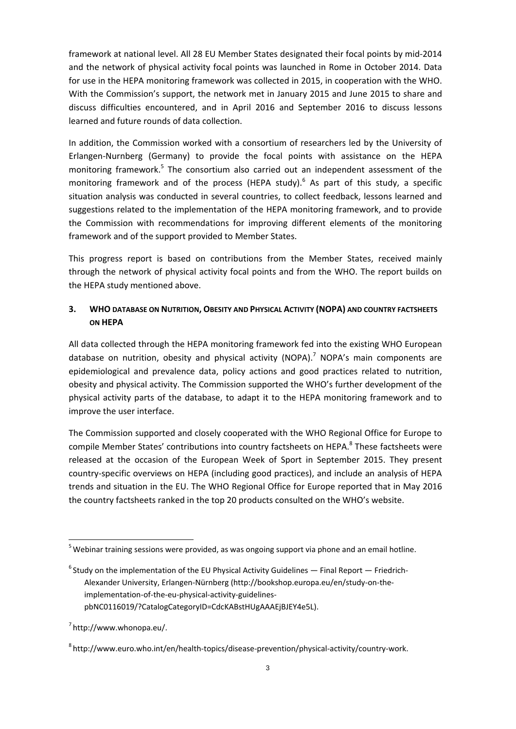framework at national level. All 28 EU Member States designated their focal points by mid-2014 and the network of physical activity focal points was launched in Rome in October 2014. Data for use in the HEPA monitoring framework was collected in 2015, in cooperation with the WHO. With the Commission's support, the network met in January 2015 and June 2015 to share and discuss difficulties encountered, and in April 2016 and September 2016 to discuss lessons learned and future rounds of data collection.

In addition, the Commission worked with a consortium of researchers led by the University of Erlangen-Nurnberg (Germany) to provide the focal points with assistance on the HEPA monitoring framework.<sup>5</sup> The consortium [also carried out an independent assessm](http://bookshop.europa.eu/en/study-on-the-implementation-of-the-eu-physical-activity-guidelines-pbNC0116019/?CatalogCategoryID=CdcKABstHUgAAAEjBJEY4e5L)ent of the monitoring framework and of the process (HEPA study).<sup>6</sup> As part of this study, a specific situation analysis was conducted in several countries, to collect feedback, lessons learned and suggestions related to the implementation of the HEPA monitoring framework, and to provide the Commission with recommendations for improving different elements of the monitoring framework and of the support provided to Member States.

This progress report is based on contributions from the Member States, received mainly through the network of physical activity focal points and from the WHO. The report builds on the HEPA study mentioned above.

## **3. WHO DATABASE ON NUTRITION, OBESITY AND PHYSICAL ACTIVITY (NOPA) AND COUNTRY FACTSHEETS ON HEPA**

All data collected through the HEPA monitoring framework fed into the existing WHO European database on nutrition, obesity and physical activity (NOPA).<sup>7</sup> NOPA's main components are epidemiological and prevalence data, policy actions and good practices related to nutrition, obesity and physical activity. The Commission supported the WHO's further development of the physical activity parts of the database, to adapt it to the HEPA monitoring framework and to improve the user interface.

The Commission supported and closely cooperated with the WHO Regional Office for Europe to compile Member States' contributions into country factsheets on HEPA.<sup>8</sup> These factsheets were released at the occasion of the European Week of Sport in September 2015. They present country-specific overviews on HEPA (including good practices), and include an analysis of HEPA trends and situation in the EU. The WHO Regional Office for Europe reported that in May 2016 the country factsheets ranked in the top 20 products consulted on the WHO's website.

 $\overline{a}$ 

<sup>&</sup>lt;sup>5</sup> Webinar training sessions were provided, as was ongoing support via phone and an email hotline.

 $6$  Study on the implementation of the EU Physical Activity Guidelines  $-$  Final Report  $-$  Friedrich-Alexander University, Erlangen-Nürnberg (http://bookshop.europa.eu/en/study-on-theimplementation-of-the-eu-physical-activity-guidelines[pbNC0116019/?CatalogCategoryID=CdcKABstHUgAAAEjBJEY4e5L\).](http://bookshop.europa.eu/en/study-on-the-implementation-of-the-eu-physical-activity-guidelines-pbNC0116019/?CatalogCategoryID=CdcKABstHUgAAAEjBJEY4e5L)

 $7$  http://www.whonopa.eu/.

[<sup>8</sup> http://www.euro.who.int/en/health-topics/disease-prevention/physical-activity/country-work.](http://www.euro.who.int/en/health-topics/disease-prevention/physical-activity/country-work)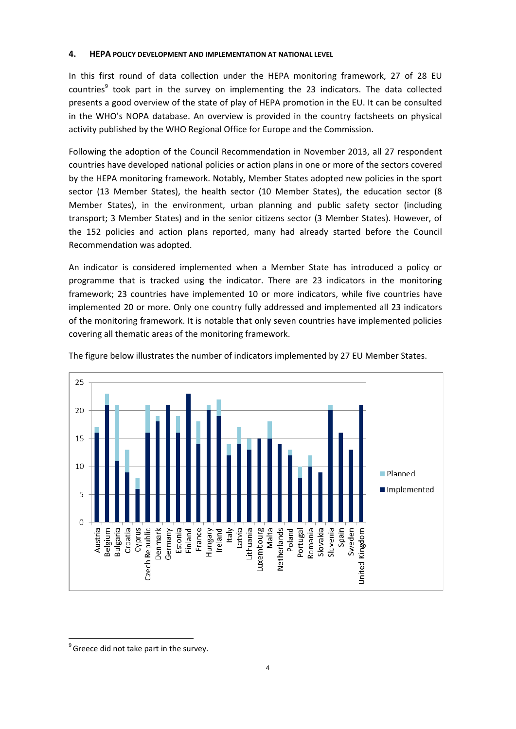### **4. HEPA POLICY DEVELOPMENT AND IMPLEMENTATION AT NATIONAL LEVEL**

In this first round of data collection under the HEPA monitoring framework, 27 of 28 EU countries<sup>9</sup> took part in the survey on implementing the 23 indicators. The data collected presents a good overview of the state of play of HEPA promotion in the EU. It can be consulted in the WHO's NOPA database. An overview is provided in the country factsheets on physical activity published by the WHO Regional Office for Europe and the Commission.

Following the adoption of the Council Recommendation in November 2013, all 27 respondent countries have developed national policies or action plans in one or more of the sectors covered by the HEPA monitoring framework. Notably, Member States adopted new policies in the sport sector (13 Member States), the health sector (10 Member States), the education sector (8 Member States), in the environment, urban planning and public safety sector (including transport; 3 Member States) and in the senior citizens sector (3 Member States). However, of the 152 policies and action plans reported, many had already started before the Council Recommendation was adopted.

An indicator is considered implemented when a Member State has introduced a policy or programme that is tracked using the indicator. There are 23 indicators in the monitoring framework; 23 countries have implemented 10 or more indicators, while five countries have implemented 20 or more. Only one country fully addressed and implemented all 23 indicators of the monitoring framework. It is notable that only seven countries have implemented policies covering all thematic areas of the monitoring framework.



The figure below illustrates the number of indicators implemented by 27 EU Member States.

 $\overline{a}$ 

 $9$  Greece did not take part in the survey.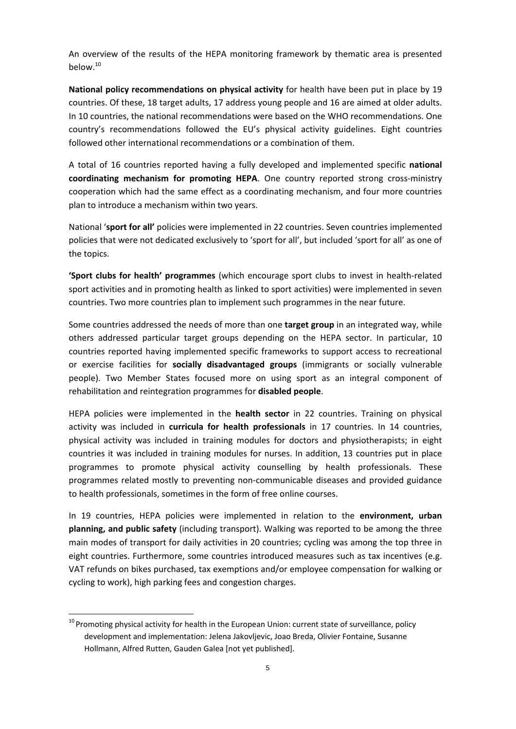An overview of the results of the HEPA monitoring framework by thematic area is presented below.<sup>10</sup>

**National policy recommendations on physical activity** for health have been put in place by 19 countries. Of these, 18 target adults, 17 address young people and 16 are aimed at older adults. In 10 countries, the national recommendations were based on the WHO recommendations. One country's recommendations followed the EU's physical activity guidelines. Eight countries followed other international recommendations or a combination of them.

A total of 16 countries reported having a fully developed and implemented specific **national coordinating mechanism for promoting HEPA**. One country reported strong cross-ministry cooperation which had the same effect as a coordinating mechanism, and four more countries plan to introduce a mechanism within two years.

National '**sport for all'** policies were implemented in 22 countries. Seven countries implemented policies that were not dedicated exclusively to 'sport for all', but included 'sport for all' as one of the topics.

**'Sport clubs for health' programmes** (which encourage sport clubs to invest in health-related sport activities and in promoting health as linked to sport activities) were implemented in seven countries. Two more countries plan to implement such programmes in the near future.

Some countries addressed the needs of more than one **target group** in an integrated way, while others addressed particular target groups depending on the HEPA sector. In particular, 10 countries reported having implemented specific frameworks to support access to recreational or exercise facilities for **socially disadvantaged groups** (immigrants or socially vulnerable people). Two Member States focused more on using sport as an integral component of rehabilitation and reintegration programmes for **disabled people**.

HEPA policies were implemented in the **health sector** in 22 countries. Training on physical activity was included in **curricula for health professionals** in 17 countries. In 14 countries, physical activity was included in training modules for doctors and physiotherapists; in eight countries it was included in training modules for nurses. In addition, 13 countries put in place programmes to promote physical activity counselling by health professionals. These programmes related mostly to preventing non-communicable diseases and provided guidance to health professionals, sometimes in the form of free online courses.

In 19 countries, HEPA policies were implemented in relation to the **environment, urban planning, and public safety** (including transport). Walking was reported to be among the three main modes of transport for daily activities in 20 countries; cycling was among the top three in eight countries. Furthermore, some countries introduced measures such as tax incentives (e.g. VAT refunds on bikes purchased, tax exemptions and/or employee compensation for walking or cycling to work), high parking fees and congestion charges.

 $\overline{a}$ 

 $^{10}$  Promoting physical activity for health in the European Union: current state of surveillance, policy development and implementation: Jelena Jakovljevic, Joao Breda, Olivier Fontaine, Susanne Hollmann, Alfred Rutten, Gauden Galea [not yet published].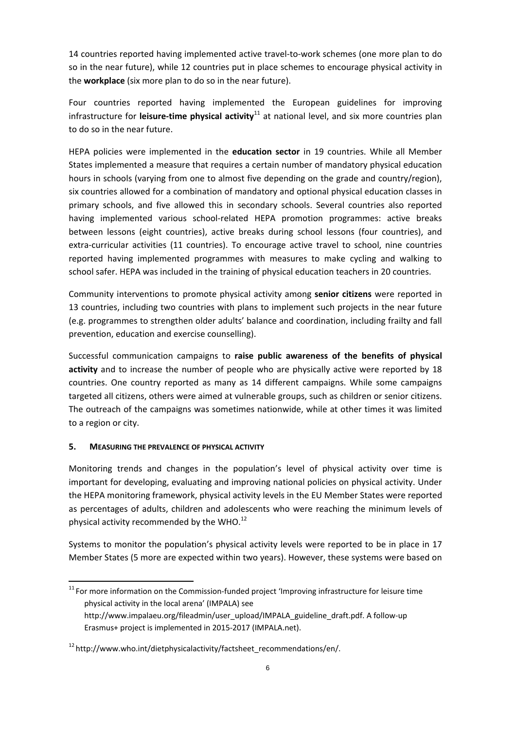14 countries reported having implemented active travel-to-work schemes (one more plan to do so in the near future), while 12 countries put in place schemes to encourage physical activity in the **workplace** (six more plan to do so in the near future).

Four countries reported having implemented the European guidelines for improving infrastructure for leisure-time physical activity<sup>11</sup> at national level, and six more countries plan to do so in the near future.

HEPA policies were implemented in the **education sector** in 19 countries. While all Member States implemented a measure that requires a certain number of mandatory physical education hours in schools (varying from one to almost five depending on the grade and country/region), six countries allowed for a combination of mandatory and optional physical education classes in primary schools, and five allowed this in secondary schools. Several countries also reported having implemented various school-related HEPA promotion programmes: active breaks between lessons (eight countries), active breaks during school lessons (four countries), and extra-curricular activities (11 countries). To encourage active travel to school, nine countries reported having implemented programmes with measures to make cycling and walking to school safer. HEPA was included in the training of physical education teachers in 20 countries.

Community interventions to promote physical activity among **senior citizens** were reported in 13 countries, including two countries with plans to implement such projects in the near future (e.g. programmes to strengthen older adults' balance and coordination, including frailty and fall prevention, education and exercise counselling).

Successful communication campaigns to **raise public awareness of the benefits of physical activity** and to increase the number of people who are physically active were reported by 18 countries. One country reported as many as 14 different campaigns. While some campaigns targeted all citizens, others were aimed at vulnerable groups, such as children or senior citizens. The outreach of the campaigns was sometimes nationwide, while at other times it was limited to a region or city.

## **5. MEASURING THE PREVALENCE OF PHYSICAL ACTIVITY**

 $\overline{a}$ 

Monitoring trends and changes in the population's level of physical activity over time is important for developing, evaluating and improving national policies on physical activity. Under the HEPA monitoring framework, physical activity levels in the EU Member States were reported as percentages of adults, children and adolescents who were reaching the minimum levels of physical activity recommended by the WHO. $^{12}$ 

Systems to monitor the population's physical activity levels were reported to be in place in 17 Member States (5 more are expected within two years). However, these systems were based on

 $11$  For more information on the Commission-funded project 'Improving infrastructure for leisure time physical activity in the local arena' (IMPALA) see http://www.impalaeu.org/fileadmin/user\_upload/IMPALA\_guideline\_draft.pdf. A follow-up Erasmus+ project is implemented in 2015-2017 (IMPALA.net).

 $12$  http://www.who.int/dietphysicalactivity/factsheet recommendations/en/.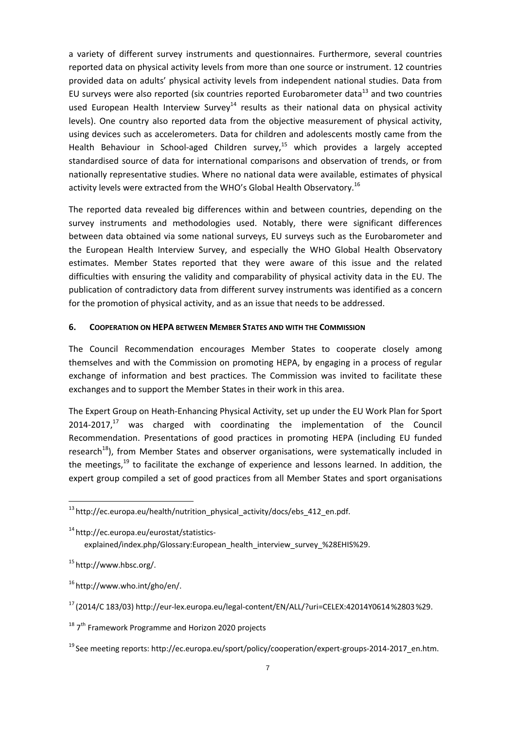a variety of different survey instruments and questionnaires. Furthermore, several countries reported data on physical activity levels from more than one source or instrument. 12 countries provided data on adults' physical activity levels from independent national studies. Data from EU surveys were also reported (six countries reported Eurobarometer data $^{13}$  and two countries [used European Health Interview Surv](http://ec.europa.eu/eurostat/statistics-explained/index.php/Glossary:European_health_interview_survey_(EHIS))ey<sup>14</sup> results as their national data on physical activity levels). One country also reported data from the objective measurement of physical activity, using devices such as accelerometers. Data for children and adolescents mostly came from the Health Behaviour in School-aged Children survey, $15$  which provides a largely accepted standardised source of data for international comparisons and observation of trends, or from nationally representative studies. Where no national data were available, estimates of physical activity levels were extracted from the WHO's Global Health Observatory.<sup>16</sup>

The reported data revealed big differences within and between countries, depending on the survey instruments and methodologies used. Notably, there were significant differences between data obtained via some national surveys, EU surveys such as the Eurobarometer and the European Health Interview Survey, and especially the WHO Global Health Observatory estimates. Member States reported that they were aware of this issue and the related difficulties with ensuring the validity and comparability of physical activity data in the EU. The publication of contradictory data from different survey instruments was identified as a concern for the promotion of physical activity, and as an issue that needs to be addressed.

#### **6. COOPERATION ON HEPA BETWEEN MEMBER STATES AND WITH THE COMMISSION**

The Council Recommendation encourages Member States to cooperate closely among themselves and with the Commission on promoting HEPA, by engaging in a process of regular exchange of information and best practices. The Commission was invited to facilitate these exchanges and to support the Member States in their work in this area.

The Expert Group on Heath-Enhancing Physical Activity, set up under the EU Work Plan for Sport  $2014$ -2017,<sup>17</sup> was charged with coordinating the implementation of the Council Recommendation. Presentations of good practices in promoting HEPA (including EU funded research<sup>18</sup>), from Member States and observer organisations, were systematically included in the meetings, $19$  to facilitate the exchange of experience and lessons learned. In addition, the expert group compiled a set of good practices from all Member States and sport organisations

14 http://ec.europa.eu/eurostat/statistics-

[explained/index.php/Glossary:European\\_health\\_interview\\_survey\\_%28EHIS%29.](http://ec.europa.eu/eurostat/statistics-explained/index.php/Glossary:European_health_interview_survey_(EHIS))

1[5 http://www.hbsc.org/.](http://www.hbsc.org/)

 $\overline{a}$ 

 $16$  http://www.who.int/gho/en/.

 $13$  http://ec.europa.eu/health/nutrition\_physical\_activity/docs/ebs\_412\_en.pdf.

<sup>17 (2014/</sup>C 183/03[\) http://eur-lex.europa.eu/legal-content/EN/ALL/?uri=CELEX:42014Y0614%2803%29.](http://eur-lex.europa.eu/legal-content/EN/ALL/?uri=CELEX:42014Y0614(03))

 $18$   $7<sup>th</sup>$  Framework Programme and Horizon 2020 projects

 $19$  See meeting reports[: http://ec.europa.eu/sport/policy/cooperation/expert-groups-2014-2017\\_en.htm.](http://ec.europa.eu/sport/policy/cooperation/expert-groups-2014-2017_en.htm)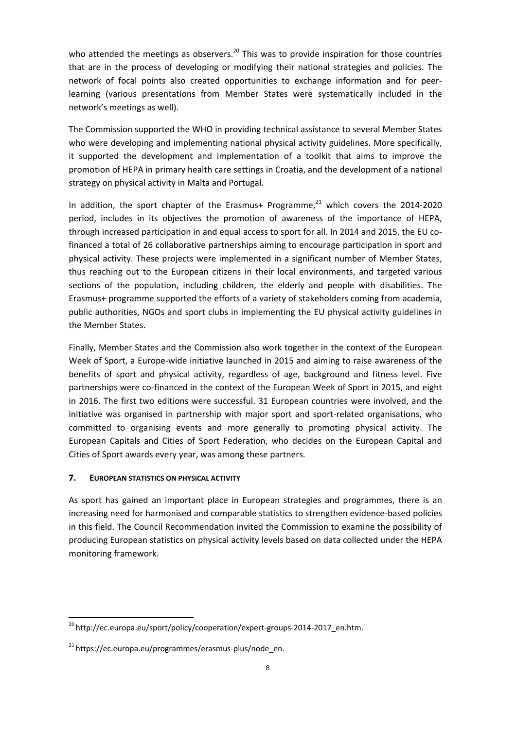who attended the meetings as observers.<sup>20</sup> This was to provide inspiration for those countries that are in the process of developing or modifying their national strategies and policies. The network of focal points also created opportunities to exchange information and for peerlearning (various presentations from Member States were systematically included in the network's meetings as well).

The Commission supported the WHO in providing technical assistance to several Member States who were developing and implementing national physical activity guidelines. More specifically, it supported the development and implementation of a toolkit that aims to improve the promotion of HEPA in primary health care settings in Croatia, and the development of a national strategy on physical activity in Malta and Portugal.

In addition, the sport chapter of the Erasmus+ Programme, $^{21}$  which covers the 2014-2020 period, includes in its objectives the promotion of awareness of the importance of HEPA, through increased participation in and equal access to sport for all. In 2014 and 2015, the EU cofinanced a total of 26 collaborative partnerships aiming to encourage participation in sport and physical activity. These projects were implemented in a significant number of Member States, thus reaching out to the European citizens in their local environments, and targeted various sections of the population, including children, the elderly and people with disabilities. The Erasmus+ programme supported the efforts of a variety of stakeholders coming from academia, public authorities, NGOs and sport clubs in implementing the EU physical activity guidelines in the Member States.

Finally, Member States and the Commission also work together in the context of the European Week of Sport, a Europe-wide initiative launched in 2015 and aiming to raise awareness of the benefits of sport and physical activity, regardless of age, background and fitness level. Five partnerships were co-financed in the context of the European Week of Sport in 2015, and eight in 2016. The first two editions were successful. 31 European countries were involved, and the initiative was organised in partnership with major sport and sport-related organisations, who committed to organising events and more generally to promoting physical activity. The European Capitals and Cities of Sport Federation, who decides on the European Capital and Cities of Sport awards every year, was among these partners.

## **7. EUROPEAN STATISTICS ON PHYSICAL ACTIVITY**

 $\overline{a}$ 

As sport has gained an important place in European strategies and programmes, there is an increasing need for harmonised and comparable statistics to strengthen evidence-based policies in this field. The Council Recommendation invited the Commission to examine the possibility of producing European statistics on physical activity levels based on data collected under the HEPA monitoring framework.

<sup>&</sup>lt;sup>20</sup> http://ec.europa.eu/sport/policy/cooperation/expert-groups-2014-2017\_en.htm.

 $21$  https://ec.europa.eu/programmes/erasmus-plus/node\_en.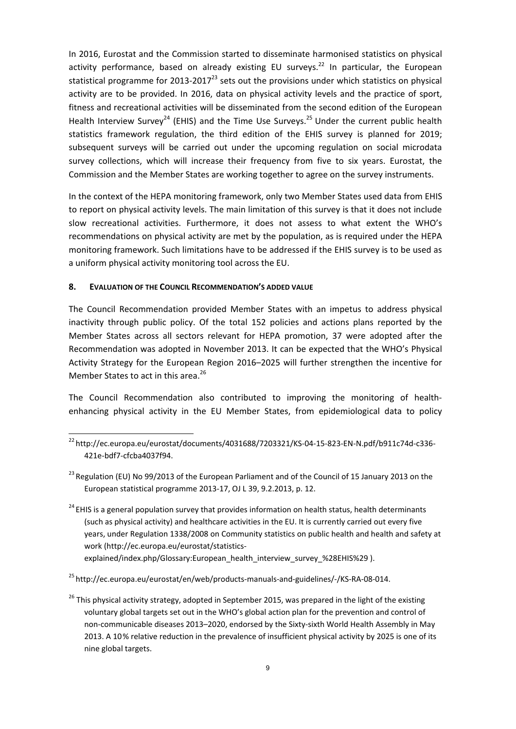In 2016, Eurostat and the Commission started to disseminate harmonised statistics on physical activity performance, based on already existing EU surveys.<sup>22</sup> In particular, the European statistical programme for 2013-2017 $^{23}$  sets out the provisions under which statistics on physical activity are to be provided. In 2016, data on physical activity levels and the practice of sport, fitness a[nd recreational activities will be dissem](http://ec.europa.eu/eurostat/statistics-explained/index.php/Glossary:European_health_interview_survey_(EHIS))inated from the second edition of the European Health Interview Survey<sup>24</sup> (EHIS) and the Time Use Surveys.<sup>25</sup> Under the current public health statistics framework regulation, the third edition of the EHIS survey is planned for 2019; subsequent surveys will be carried out under the upcoming regulation on social microdata survey collections, which will increase their frequency from five to six years. Eurostat, the Commission and the Member States are working together to agree on the survey instruments.

In the context of the HEPA monitoring framework, only two Member States used data from EHIS to report on physical activity levels. The main limitation of this survey is that it does not include slow recreational activities. Furthermore, it does not assess to what extent the WHO's recommendations on physical activity are met by the population, as is required under the HEPA monitoring framework. Such limitations have to be addressed if the EHIS survey is to be used as a uniform physical activity monitoring tool across the EU.

#### **8. EVALUATION OF THE COUNCIL RECOMMENDATION'S ADDED VALUE**

 $\overline{a}$ 

The Council Recommendation provided Member States with an impetus to address physical inactivity through public policy. Of the total 152 policies and actions plans reported by the Member States across all sectors relevant for HEPA promotion, 37 were adopted after the Recommendation was adopted in November 2013. It can be expected that the WHO's Physical Activity Strategy for the European Region 2016–2025 will further strengthen the incentive for Member States to act in this area.<sup>26</sup>

The Council Recommendation also contributed to improving the monitoring of healthenhancing physical activity in the EU Member States, from epidemiological data to policy

[explained/index.php/Glossary:European\\_health\\_interview\\_survey\\_%28EHIS%29 \)](http://ec.europa.eu/eurostat/statistics-explained/index.php/Glossary:European_health_interview_survey_(EHIS)).

 $^{22}$ http://ec.europa.eu/eurostat/documents/4031688/7203321/KS-04-15-823-EN-N.pdf/b911c74d-c336-421e-bdf7-cfcba4037f94.

<sup>&</sup>lt;sup>23</sup> Regulation (EU) No 99/2013 of the European Parliament and of the Council of 15 January 2013 on the European statistical programme 2013-17, OJ L 39, 9.2.2013, p. 12.

 $24$  EHIS is a general population survey that provides information on health status, health determinants (such as physical activity) and healthcare activities in the EU. It is currently carried out every five years, under Regulation 1338/2008 on Community statistics on public health and health and safety at work (http://ec.europa.eu/eurostat/statistics-

<sup>&</sup>lt;sup>25</sup> http://ec.europa.eu/eurostat/en/web/products-manuals-and-guidelines/-/KS-RA-08-014.

 $26$  This physical activity strategy, adopted in September 2015, was prepared in the light of the existing voluntary global targets set out in the WHO's global action plan for the prevention and control of non-communicable diseases 2013–2020, endorsed by the Sixty-sixth World Health Assembly in May 2013. A 10% relative reduction in the prevalence of insufficient physical activity by 2025 is one of its nine global targets.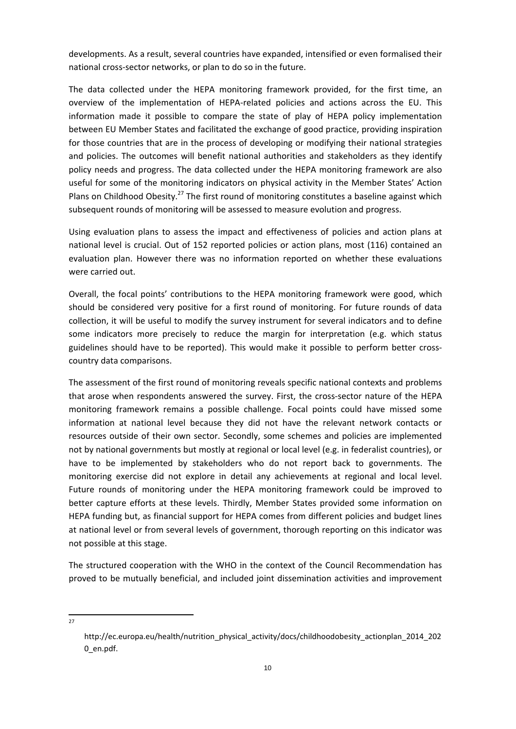developments. As a result, several countries have expanded, intensified or even formalised their national cross-sector networks, or plan to do so in the future.

The data collected under the HEPA monitoring framework provided, for the first time, an overview of the implementation of HEPA-related policies and actions across the EU. This information made it possible to compare the state of play of HEPA policy implementation between EU Member States and facilitated the exchange of good practice, providing inspiration for those countries that are in the process of developing or modifying their national strategies and policies. The outcomes will benefit national authorities and stakeholders as they identify policy needs and progress. The data collected under the HEPA monitoring framework are also useful for some of the monitoring indicators on physical activity in the Member States' Action Plans on Childhood Obesity.<sup>27</sup> The first round of monitoring constitutes a baseline against which subsequent rounds of monitoring will be assessed to measure evolution and progress.

Using evaluation plans to assess the impact and effectiveness of policies and action plans at national level is crucial. Out of 152 reported policies or action plans, most (116) contained an evaluation plan. However there was no information reported on whether these evaluations were carried out.

Overall, the focal points' contributions to the HEPA monitoring framework were good, which should be considered very positive for a first round of monitoring. For future rounds of data collection, it will be useful to modify the survey instrument for several indicators and to define some indicators more precisely to reduce the margin for interpretation (e.g. which status guidelines should have to be reported). This would make it possible to perform better crosscountry data comparisons.

The assessment of the first round of monitoring reveals specific national contexts and problems that arose when respondents answered the survey. First, the cross-sector nature of the HEPA monitoring framework remains a possible challenge. Focal points could have missed some information at national level because they did not have the relevant network contacts or resources outside of their own sector. Secondly, some schemes and policies are implemented not by national governments but mostly at regional or local level (e.g. in federalist countries), or have to be implemented by stakeholders who do not report back to governments. The monitoring exercise did not explore in detail any achievements at regional and local level. Future rounds of monitoring under the HEPA monitoring framework could be improved to better capture efforts at these levels. Thirdly, Member States provided some information on HEPA funding but, as financial support for HEPA comes from different policies and budget lines at national level or from several levels of government, thorough reporting on this indicator was not possible at this stage.

The structured cooperation with the WHO in the context of the Council Recommendation has proved to be mutually beneficial, and included joint dissemination activities and improvement

 $\frac{1}{27}$ 

http://ec.europa.eu/health/nutrition\_physical\_activity/docs/childhoodobesity\_actionplan\_2014\_202 0\_en.pdf.